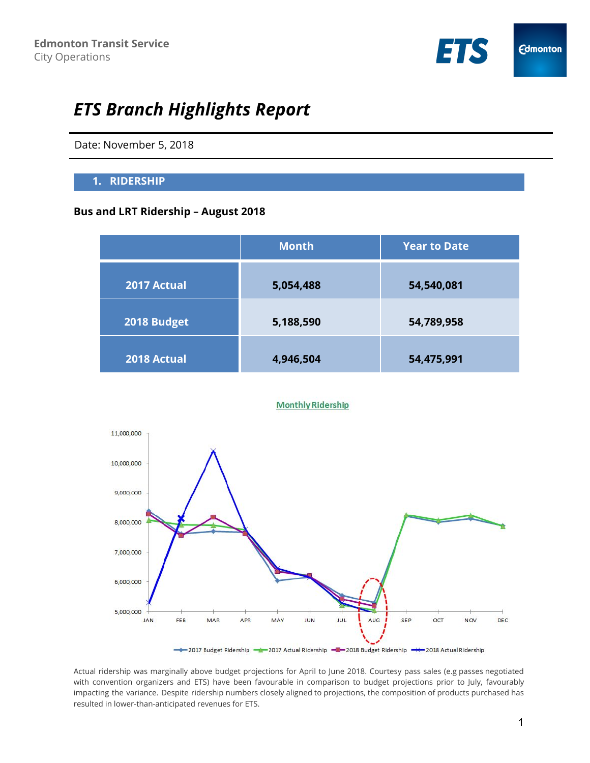

# *ETS Branch Highlights Report*

Date: November 5, 2018

#### **1. RIDERSHIP**

#### **Bus and LRT Ridership – August 2018**

|             | <b>Month</b> | <b>Year to Date</b> |  |
|-------------|--------------|---------------------|--|
| 2017 Actual | 5,054,488    | 54,540,081          |  |
| 2018 Budget | 5,188,590    | 54,789,958          |  |
| 2018 Actual | 4,946,504    | 54,475,991          |  |

#### **Monthly Ridership**



Actual ridership was marginally above budget projections for April to June 2018. Courtesy pass sales (e.g passes negotiated with convention organizers and ETS) have been favourable in comparison to budget projections prior to July, favourably impacting the variance. Despite ridership numbers closely aligned to projections, the composition of products purchased has resulted in lower-than-anticipated revenues for ETS.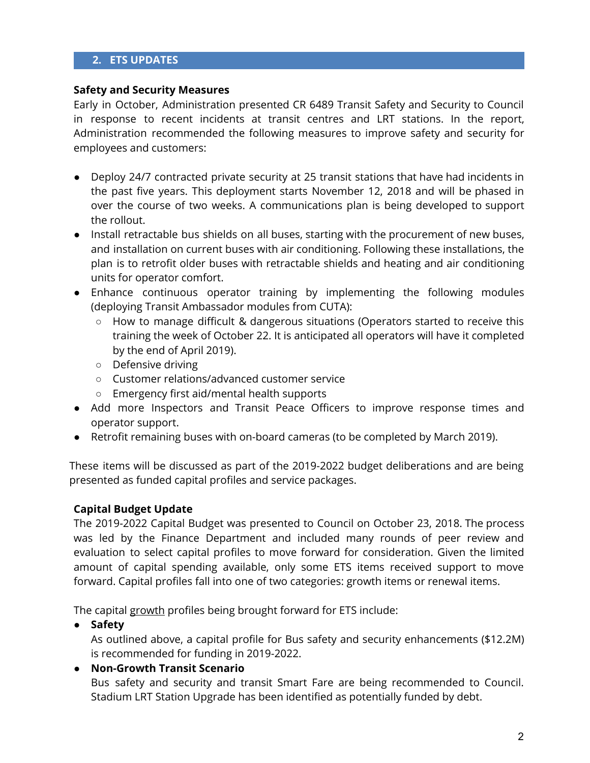# **2. ETS UPDATES**

#### **Safety and Security Measures**

Early in October, Administration presented CR 6489 Transit Safety and Security to Council in response to recent incidents at transit centres and LRT stations. In the report, Administration recommended the following measures to improve safety and security for employees and customers:

- Deploy 24/7 contracted private security at 25 transit stations that have had incidents in the past five years. This deployment starts November 12, 2018 and will be phased in over the course of two weeks. A communications plan is being developed to support the rollout.
- Install retractable bus shields on all buses, starting with the procurement of new buses, and installation on current buses with air conditioning. Following these installations, the plan is to retrofit older buses with retractable shields and heating and air conditioning units for operator comfort.
- Enhance continuous operator training by implementing the following modules (deploying Transit Ambassador modules from CUTA):
	- How to manage difficult & dangerous situations (Operators started to receive this training the week of October 22. It is anticipated all operators will have it completed by the end of April 2019).
	- Defensive driving
	- Customer relations/advanced customer service
	- Emergency first aid/mental health supports
- Add more Inspectors and Transit Peace Officers to improve response times and operator support.
- Retrofit remaining buses with on-board cameras (to be completed by March 2019).

These items will be discussed as part of the 2019-2022 budget deliberations and are being presented as funded capital profiles and service packages.

### **Capital Budget Update**

The 2019-2022 Capital Budget was presented to Council on October 23, 2018. The process was led by the Finance Department and included many rounds of peer review and evaluation to select capital profiles to move forward for consideration. Given the limited amount of capital spending available, only some ETS items received support to move forward. Capital profiles fall into one of two categories: growth items or renewal items.

The capital growth profiles being brought forward for ETS include:

**● Safety**

As outlined above, a capital profile for Bus safety and security enhancements (\$12.2M) is recommended for funding in 2019-2022.

# ● **Non-Growth Transit Scenario**

Bus safety and security and transit Smart Fare are being recommended to Council. Stadium LRT Station Upgrade has been identified as potentially funded by debt.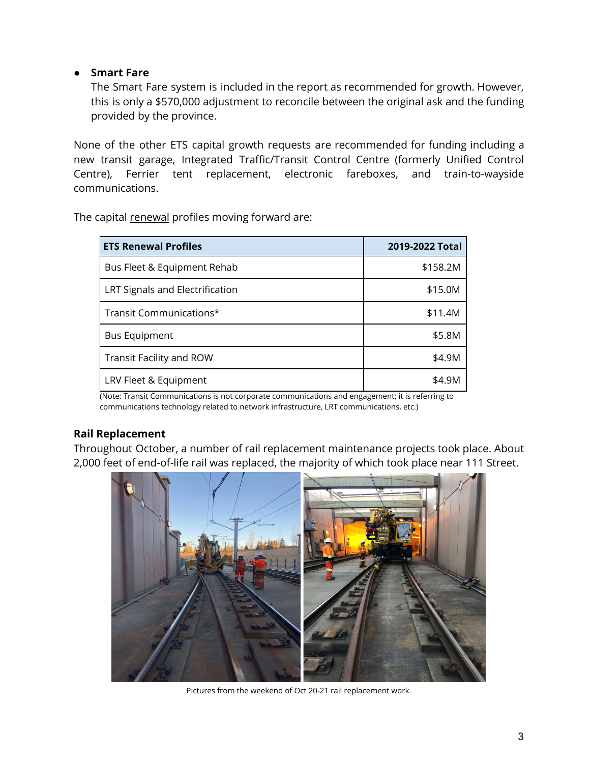# ● **Smart Fare**

The Smart Fare system is included in the report as recommended for growth. However, this is only a \$570,000 adjustment to reconcile between the original ask and the funding provided by the province.

None of the other ETS capital growth requests are recommended for funding including a new transit garage, Integrated Traffic/Transit Control Centre (formerly Unified Control Centre), Ferrier tent replacement, electronic fareboxes, and train-to-wayside communications.

The capital renewal profiles moving forward are:

| <b>ETS Renewal Profiles</b>     | 2019-2022 Total |
|---------------------------------|-----------------|
| Bus Fleet & Equipment Rehab     | \$158.2M        |
| LRT Signals and Electrification | \$15.0M         |
| Transit Communications*         | \$11.4M         |
| <b>Bus Equipment</b>            | \$5.8M          |
| Transit Facility and ROW        | \$4.9M          |
| LRV Fleet & Equipment           | \$4.9M          |

(Note: Transit Communications is not corporate communications and engagement; it is referring to communications technology related to network infrastructure, LRT communications, etc.)

### **Rail Replacement**

Throughout October, a number of rail replacement maintenance projects took place. About 2,000 feet of end-of-life rail was replaced, the majority of which took place near 111 Street.

![](_page_2_Picture_8.jpeg)

Pictures from the weekend of Oct 20-21 rail replacement work.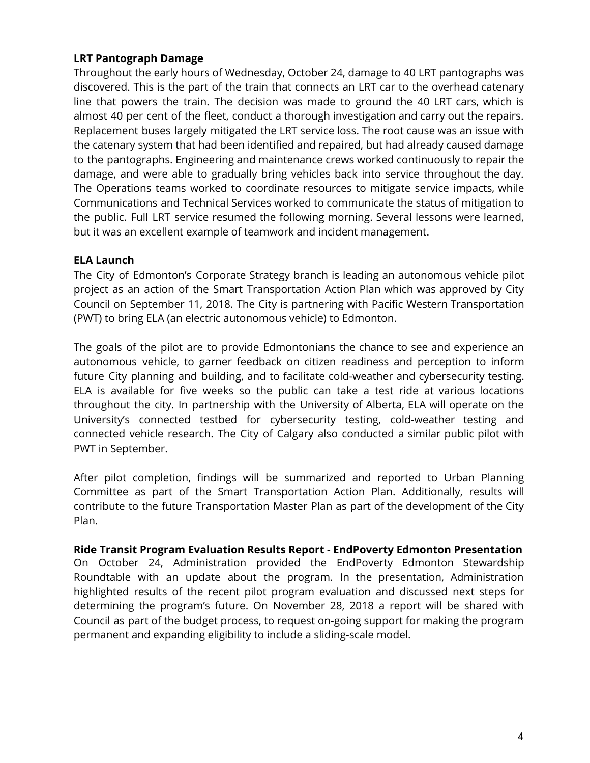# **LRT Pantograph Damage**

Throughout the early hours of Wednesday, October 24, damage to 40 LRT pantographs was discovered. This is the part of the train that connects an LRT car to the overhead catenary line that powers the train. The decision was made to ground the 40 LRT cars, which is almost 40 per cent of the fleet, conduct a thorough investigation and carry out the repairs. Replacement buses largely mitigated the LRT service loss. The root cause was an issue with the catenary system that had been identified and repaired, but had already caused damage to the pantographs. Engineering and maintenance crews worked continuously to repair the damage, and were able to gradually bring vehicles back into service throughout the day. The Operations teams worked to coordinate resources to mitigate service impacts, while Communications and Technical Services worked to communicate the status of mitigation to the public. Full LRT service resumed the following morning. Several lessons were learned, but it was an excellent example of teamwork and incident management.

### **ELA Launch**

The City of Edmonton's Corporate Strategy branch is leading an autonomous vehicle pilot project as an action of the Smart Transportation Action Plan which was approved by City Council on September 11, 2018. The City is partnering with Pacific Western Transportation (PWT) to bring ELA (an electric autonomous vehicle) to Edmonton.

The goals of the pilot are to provide Edmontonians the chance to see and experience an autonomous vehicle, to garner feedback on citizen readiness and perception to inform future City planning and building, and to facilitate cold-weather and cybersecurity testing. ELA is available for five weeks so the public can take a test ride at various locations throughout the city. In partnership with the University of Alberta, ELA will operate on the University's connected testbed for cybersecurity testing, cold-weather testing and connected vehicle research. The City of Calgary also conducted a similar public pilot with PWT in September.

After pilot completion, findings will be summarized and reported to Urban Planning Committee as part of the Smart Transportation Action Plan. Additionally, results will contribute to the future Transportation Master Plan as part of the development of the City Plan.

**Ride Transit Program Evaluation Results Report - EndPoverty Edmonton Presentation** On October 24, Administration provided the EndPoverty Edmonton Stewardship Roundtable with an update about the program. In the presentation, Administration highlighted results of the recent pilot program evaluation and discussed next steps for determining the program's future. On November 28, 2018 a report will be shared with Council as part of the budget process, to request on-going support for making the program permanent and expanding eligibility to include a sliding-scale model.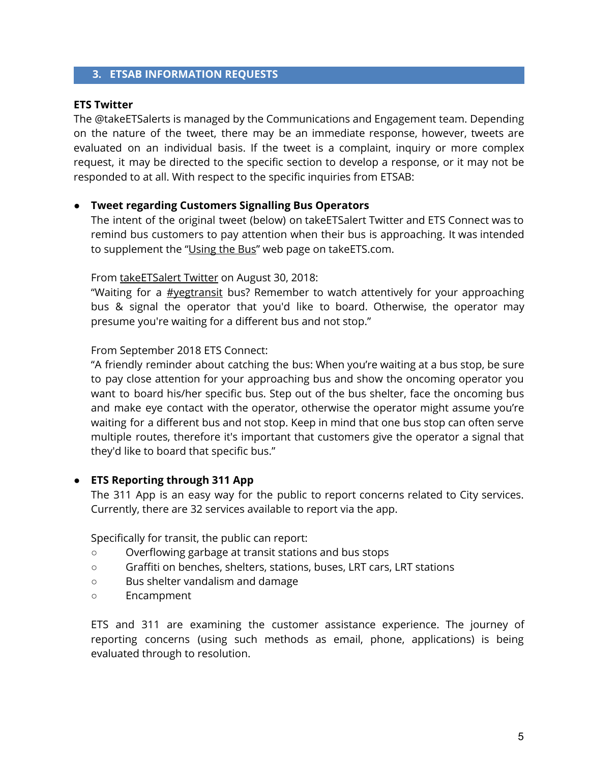### **3. ETSAB INFORMATION REQUESTS**

#### **ETS Twitter**

The @takeETSalerts is managed by the Communications and Engagement team. Depending on the nature of the tweet, there may be an immediate response, however, tweets are evaluated on an individual basis. If the tweet is a complaint, inquiry or more complex request, it may be directed to the specific section to develop a response, or it may not be responded to at all. With respect to the specific inquiries from ETSAB:

#### **● Tweet regarding Customers Signalling Bus Operators**

The intent of the original tweet (below) on takeETSalert Twitter and ETS Connect was to remind bus customers to pay attention when their bus is approaching. It was intended to supplement the "[Using](https://www.edmonton.ca/ets/using-the-bus.aspx) the Bus" web page on takeETS.com.

#### From [takeETSalert](https://twitter.com/takeETSalert/status/1035249563341410305) Twitter on August 30, 2018:

"W[a](https://twitter.com/hashtag/yegtransit?src=hash)iting for a **[#yegtransit](https://twitter.com/hashtag/yegtransit?src=hash)** bus? Remember to watch attentively for your approaching bus & signal the operator that you'd like to board. Otherwise, the operator may presume you're waiting for a different bus and not stop."

From September 2018 ETS Connect:

"A friendly reminder about catching the bus: When you're waiting at a bus stop, be sure to pay close attention for your approaching bus and show the oncoming operator you want to board his/her specific bus. Step out of the bus shelter, face the oncoming bus and make eye contact with the operator, otherwise the operator might assume you're waiting for a different bus and not stop. Keep in mind that one bus stop can often serve multiple routes, therefore it's important that customers give the operator a signal that they'd like to board that specific bus."

### **● ETS Reporting through 311 App**

The 311 App is an easy way for the public to report concerns related to City services. Currently, there are 32 services available to report via the app.

Specifically for transit, the public can report:

- Overflowing garbage at transit stations and bus stops
- Graffiti on benches, shelters, stations, buses, LRT cars, LRT stations
- Bus shelter vandalism and damage
- Encampment

ETS and 311 are examining the customer assistance experience. The journey of reporting concerns (using such methods as email, phone, applications) is being evaluated through to resolution.